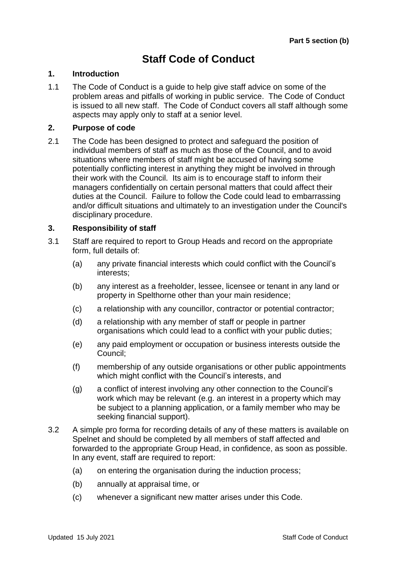# **Staff Code of Conduct**

#### **1. Introduction**

1.1 The Code of Conduct is a guide to help give staff advice on some of the problem areas and pitfalls of working in public service. The Code of Conduct is issued to all new staff. The Code of Conduct covers all staff although some aspects may apply only to staff at a senior level.

### **2. Purpose of code**

2.1 The Code has been designed to protect and safeguard the position of individual members of staff as much as those of the Council, and to avoid situations where members of staff might be accused of having some potentially conflicting interest in anything they might be involved in through their work with the Council. Its aim is to encourage staff to inform their managers confidentially on certain personal matters that could affect their duties at the Council. Failure to follow the Code could lead to embarrassing and/or difficult situations and ultimately to an investigation under the Council's disciplinary procedure.

#### **3. Responsibility of staff**

- 3.1 Staff are required to report to Group Heads and record on the appropriate form, full details of:
	- (a) any private financial interests which could conflict with the Council's interests;
	- (b) any interest as a freeholder, lessee, licensee or tenant in any land or property in Spelthorne other than your main residence;
	- (c) a relationship with any councillor, contractor or potential contractor;
	- (d) a relationship with any member of staff or people in partner organisations which could lead to a conflict with your public duties;
	- (e) any paid employment or occupation or business interests outside the Council;
	- (f) membership of any outside organisations or other public appointments which might conflict with the Council's interests, and
	- (g) a conflict of interest involving any other connection to the Council's work which may be relevant (e.g. an interest in a property which may be subject to a planning application, or a family member who may be seeking financial support).
- 3.2 A simple pro forma for recording details of any of these matters is available on Spelnet and should be completed by all members of staff affected and forwarded to the appropriate Group Head, in confidence, as soon as possible. In any event, staff are required to report:
	- (a) on entering the organisation during the induction process;
	- (b) annually at appraisal time, or
	- (c) whenever a significant new matter arises under this Code.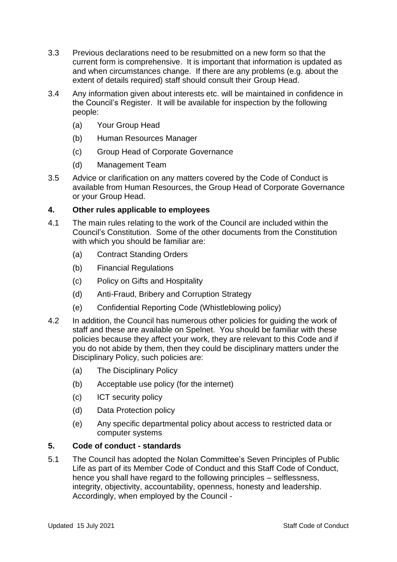- 3.3 Previous declarations need to be resubmitted on a new form so that the current form is comprehensive. It is important that information is updated as and when circumstances change. If there are any problems (e.g. about the extent of details required) staff should consult their Group Head.
- 3.4 Any information given about interests etc. will be maintained in confidence in the Council's Register. It will be available for inspection by the following people:
	- (a) Your Group Head
	- (b) Human Resources Manager
	- (c) Group Head of Corporate Governance
	- (d) Management Team
- 3.5 Advice or clarification on any matters covered by the Code of Conduct is available from Human Resources, the Group Head of Corporate Governance or your Group Head.

# **4. Other rules applicable to employees**

- 4.1 The main rules relating to the work of the Council are included within the Council's Constitution. Some of the other documents from the Constitution with which you should be familiar are:
	- (a) Contract Standing Orders
	- (b) Financial Regulations
	- (c) Policy on Gifts and Hospitality
	- (d) Anti-Fraud, Bribery and Corruption Strategy
	- (e) Confidential Reporting Code (Whistleblowing policy)
- 4.2 In addition, the Council has numerous other policies for guiding the work of staff and these are available on Spelnet. You should be familiar with these policies because they affect your work, they are relevant to this Code and if you do not abide by them, then they could be disciplinary matters under the Disciplinary Policy, such policies are:
	- (a) The Disciplinary Policy
	- (b) Acceptable use policy (for the internet)
	- (c) ICT security policy
	- (d) Data Protection policy
	- (e) Any specific departmental policy about access to restricted data or computer systems

# **5. Code of conduct - standards**

5.1 The Council has adopted the Nolan Committee's Seven Principles of Public Life as part of its Member Code of Conduct and this Staff Code of Conduct, hence you shall have regard to the following principles – selflessness, integrity, objectivity, accountability, openness, honesty and leadership. Accordingly, when employed by the Council -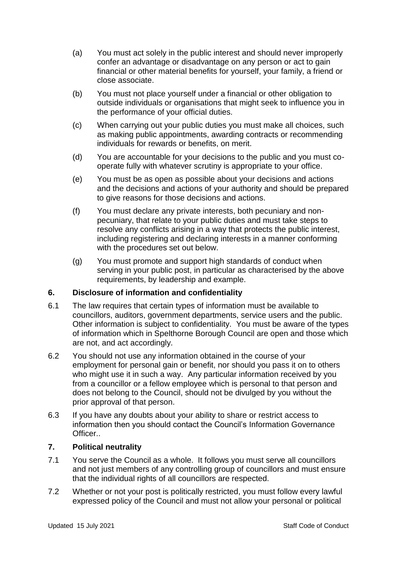- (a) You must act solely in the public interest and should never improperly confer an advantage or disadvantage on any person or act to gain financial or other material benefits for yourself, your family, a friend or close associate.
- (b) You must not place yourself under a financial or other obligation to outside individuals or organisations that might seek to influence you in the performance of your official duties.
- (c) When carrying out your public duties you must make all choices, such as making public appointments, awarding contracts or recommending individuals for rewards or benefits, on merit.
- (d) You are accountable for your decisions to the public and you must cooperate fully with whatever scrutiny is appropriate to your office.
- (e) You must be as open as possible about your decisions and actions and the decisions and actions of your authority and should be prepared to give reasons for those decisions and actions.
- (f) You must declare any private interests, both pecuniary and nonpecuniary, that relate to your public duties and must take steps to resolve any conflicts arising in a way that protects the public interest, including registering and declaring interests in a manner conforming with the procedures set out below.
- (g) You must promote and support high standards of conduct when serving in your public post, in particular as characterised by the above requirements, by leadership and example.

## **6. Disclosure of information and confidentiality**

- 6.1 The law requires that certain types of information must be available to councillors, auditors, government departments, service users and the public. Other information is subject to confidentiality. You must be aware of the types of information which in Spelthorne Borough Council are open and those which are not, and act accordingly.
- 6.2 You should not use any information obtained in the course of your employment for personal gain or benefit, nor should you pass it on to others who might use it in such a way. Any particular information received by you from a councillor or a fellow employee which is personal to that person and does not belong to the Council, should not be divulged by you without the prior approval of that person.
- 6.3 If you have any doubts about your ability to share or restrict access to information then you should contact the Council's Information Governance Officer..

## **7. Political neutrality**

- 7.1 You serve the Council as a whole. It follows you must serve all councillors and not just members of any controlling group of councillors and must ensure that the individual rights of all councillors are respected.
- 7.2 Whether or not your post is politically restricted, you must follow every lawful expressed policy of the Council and must not allow your personal or political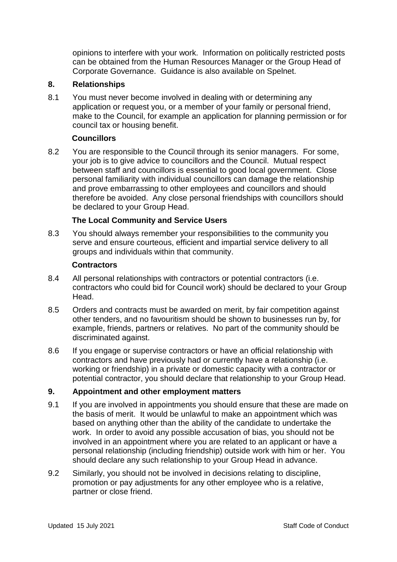opinions to interfere with your work. Information on politically restricted posts can be obtained from the Human Resources Manager or the Group Head of Corporate Governance. Guidance is also available on Spelnet.

# **8. Relationships**

8.1 You must never become involved in dealing with or determining any application or request you, or a member of your family or personal friend, make to the Council, for example an application for planning permission or for council tax or housing benefit.

# **Councillors**

8.2 You are responsible to the Council through its senior managers. For some, your job is to give advice to councillors and the Council. Mutual respect between staff and councillors is essential to good local government. Close personal familiarity with individual councillors can damage the relationship and prove embarrassing to other employees and councillors and should therefore be avoided. Any close personal friendships with councillors should be declared to your Group Head.

# **The Local Community and Service Users**

8.3 You should always remember your responsibilities to the community you serve and ensure courteous, efficient and impartial service delivery to all groups and individuals within that community.

#### **Contractors**

- 8.4 All personal relationships with contractors or potential contractors (i.e. contractors who could bid for Council work) should be declared to your Group Head.
- 8.5 Orders and contracts must be awarded on merit, by fair competition against other tenders, and no favouritism should be shown to businesses run by, for example, friends, partners or relatives. No part of the community should be discriminated against.
- 8.6 If you engage or supervise contractors or have an official relationship with contractors and have previously had or currently have a relationship (i.e. working or friendship) in a private or domestic capacity with a contractor or potential contractor, you should declare that relationship to your Group Head.

## **9. Appointment and other employment matters**

- 9.1 If you are involved in appointments you should ensure that these are made on the basis of merit. It would be unlawful to make an appointment which was based on anything other than the ability of the candidate to undertake the work. In order to avoid any possible accusation of bias, you should not be involved in an appointment where you are related to an applicant or have a personal relationship (including friendship) outside work with him or her. You should declare any such relationship to your Group Head in advance.
- 9.2 Similarly, you should not be involved in decisions relating to discipline, promotion or pay adjustments for any other employee who is a relative, partner or close friend.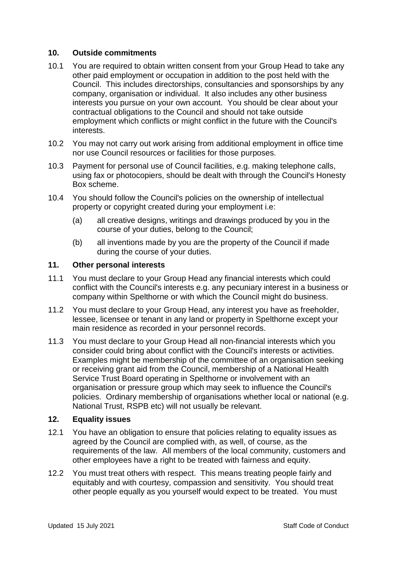### **10. Outside commitments**

- 10.1 You are required to obtain written consent from your Group Head to take any other paid employment or occupation in addition to the post held with the Council. This includes directorships, consultancies and sponsorships by any company, organisation or individual. It also includes any other business interests you pursue on your own account. You should be clear about your contractual obligations to the Council and should not take outside employment which conflicts or might conflict in the future with the Council's interests.
- 10.2 You may not carry out work arising from additional employment in office time nor use Council resources or facilities for those purposes.
- 10.3 Payment for personal use of Council facilities, e.g. making telephone calls, using fax or photocopiers, should be dealt with through the Council's Honesty Box scheme.
- 10.4 You should follow the Council's policies on the ownership of intellectual property or copyright created during your employment i.e:
	- (a) all creative designs, writings and drawings produced by you in the course of your duties, belong to the Council;
	- (b) all inventions made by you are the property of the Council if made during the course of your duties.

#### **11. Other personal interests**

- 11.1 You must declare to your Group Head any financial interests which could conflict with the Council's interests e.g. any pecuniary interest in a business or company within Spelthorne or with which the Council might do business.
- 11.2 You must declare to your Group Head, any interest you have as freeholder, lessee, licensee or tenant in any land or property in Spelthorne except your main residence as recorded in your personnel records.
- 11.3 You must declare to your Group Head all non-financial interests which you consider could bring about conflict with the Council's interests or activities. Examples might be membership of the committee of an organisation seeking or receiving grant aid from the Council, membership of a National Health Service Trust Board operating in Spelthorne or involvement with an organisation or pressure group which may seek to influence the Council's policies. Ordinary membership of organisations whether local or national (e.g. National Trust, RSPB etc) will not usually be relevant.

#### **12. Equality issues**

- 12.1 You have an obligation to ensure that policies relating to equality issues as agreed by the Council are complied with, as well, of course, as the requirements of the law. All members of the local community, customers and other employees have a right to be treated with fairness and equity.
- 12.2 You must treat others with respect. This means treating people fairly and equitably and with courtesy, compassion and sensitivity. You should treat other people equally as you yourself would expect to be treated. You must